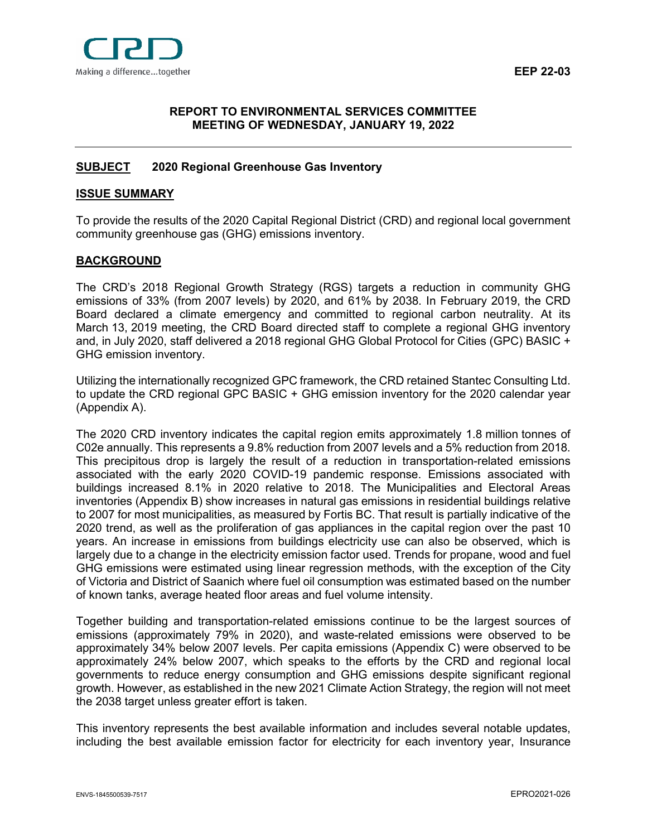

### <span id="page-0-0"></span>**[REPORT](#page-0-0) TO ENVIRONMENTAL SERVICES COMMITTEE MEETING OF WEDNESDAY, JANUARY 19, 2022**

#### <span id="page-0-1"></span>**[SUBJECT](#page-0-1) 2020 Regional Greenhouse Gas Inventory**

#### <span id="page-0-2"></span>**[ISSUE SUMMARY](#page-0-2)**

To provide the results of the 2020 Capital Regional District (CRD) and regional local government community greenhouse gas (GHG) emissions inventory.

### <span id="page-0-3"></span>**[BACKGROUND](#page-0-3)**

The CRD's 2018 Regional Growth Strategy (RGS) targets a reduction in community GHG emissions of 33% (from 2007 levels) by 2020, and 61% by 2038. In February 2019, the CRD Board declared a climate emergency and committed to regional carbon neutrality. At its March 13, 2019 meeting, the CRD Board directed staff to complete a regional GHG inventory and, in July 2020, staff delivered a 2018 regional GHG Global Protocol for Cities (GPC) BASIC + GHG emission inventory.

Utilizing the internationally recognized GPC framework, the CRD retained Stantec Consulting Ltd. to update the CRD regional GPC BASIC + GHG emission inventory for the 2020 calendar year (Appendix A).

The 2020 CRD inventory indicates the capital region emits approximately 1.8 million tonnes of C02e annually. This represents a 9.8% reduction from 2007 levels and a 5% reduction from 2018. This precipitous drop is largely the result of a reduction in transportation-related emissions associated with the early 2020 COVID-19 pandemic response. Emissions associated with buildings increased 8.1% in 2020 relative to 2018. The Municipalities and Electoral Areas inventories (Appendix B) show increases in natural gas emissions in residential buildings relative to 2007 for most municipalities, as measured by Fortis BC. That result is partially indicative of the 2020 trend, as well as the proliferation of gas appliances in the capital region over the past 10 years. An increase in emissions from buildings electricity use can also be observed, which is largely due to a change in the electricity emission factor used. Trends for propane, wood and fuel GHG emissions were estimated using linear regression methods, with the exception of the City of Victoria and District of Saanich where fuel oil consumption was estimated based on the number of known tanks, average heated floor areas and fuel volume intensity.

Together building and transportation-related emissions continue to be the largest sources of emissions (approximately 79% in 2020), and waste-related emissions were observed to be approximately 34% below 2007 levels. Per capita emissions (Appendix C) were observed to be approximately 24% below 2007, which speaks to the efforts by the CRD and regional local governments to reduce energy consumption and GHG emissions despite significant regional growth. However, as established in the new 2021 Climate Action Strategy, the region will not meet the 2038 target unless greater effort is taken.

This inventory represents the best available information and includes several notable updates, including the best available emission factor for electricity for each inventory year, Insurance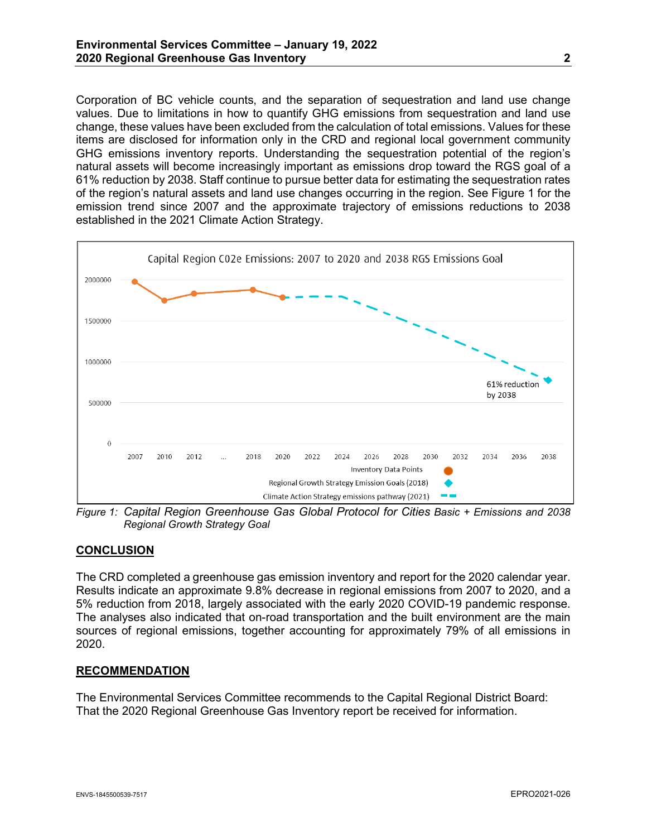Corporation of BC vehicle counts, and the separation of sequestration and land use change values. Due to limitations in how to quantify GHG emissions from sequestration and land use change, these values have been excluded from the calculation of total emissions. Values for these items are disclosed for information only in the CRD and regional local government community GHG emissions inventory reports. Understanding the sequestration potential of the region's natural assets will become increasingly important as emissions drop toward the RGS goal of a 61% reduction by 2038. Staff continue to pursue better data for estimating the sequestration rates of the region's natural assets and land use changes occurring in the region. See Figure 1 for the emission trend since 2007 and the approximate trajectory of emissions reductions to 2038 established in the 2021 Climate Action Strategy.



*Figure 1: Capital Region Greenhouse Gas Global Protocol for Cities Basic + Emissions and 2038 Regional Growth Strategy Goal*

# <span id="page-1-0"></span>**[CONCLUSION](#page-1-0)**

The CRD completed a greenhouse gas emission inventory and report for the 2020 calendar year. Results indicate an approximate 9.8% decrease in regional emissions from 2007 to 2020, and a 5% reduction from 2018, largely associated with the early 2020 COVID-19 pandemic response. The analyses also indicated that on-road transportation and the built environment are the main sources of regional emissions, together accounting for approximately 79% of all emissions in 2020.

## **RECOMMENDATION**

The Environmental Services Committee recommends to the Capital Regional District Board: That the 2020 Regional Greenhouse Gas Inventory report be received for information.